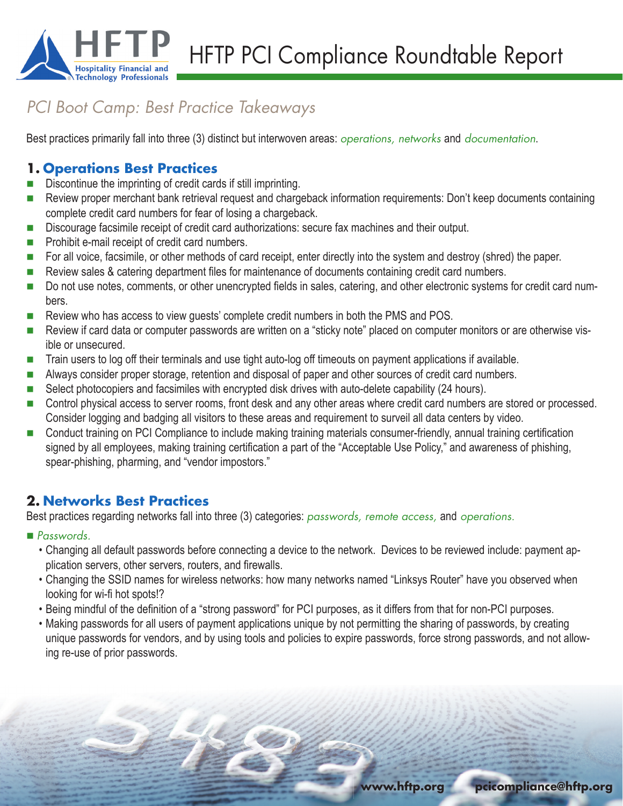

HFTP PCI Compliance Roundtable Report

# *PCI Boot Camp: Best Practice Takeaways*

Best practices primarily fall into three (3) distinct but interwoven areas: *operations, networks* and *documentation*.

## **1. Operations Best Practices**

- Discontinue the imprinting of credit cards if still imprinting.
- Review proper merchant bank retrieval request and chargeback information requirements: Don't keep documents containing complete credit card numbers for fear of losing a chargeback.
- Discourage facsimile receipt of credit card authorizations: secure fax machines and their output.
- $\blacksquare$  Prohibit e-mail receipt of credit card numbers.
- For all voice, facsimile, or other methods of card receipt, enter directly into the system and destroy (shred) the paper.
- Review sales & catering department files for maintenance of documents containing credit card numbers.
- Do not use notes, comments, or other unencrypted fields in sales, catering, and other electronic systems for credit card numbers.
- **EXECT** Review who has access to view guests' complete credit numbers in both the PMS and POS.
- Review if card data or computer passwords are written on a "sticky note" placed on computer monitors or are otherwise visible or unsecured.
- Train users to log off their terminals and use tight auto-log off timeouts on payment applications if available.
- Always consider proper storage, retention and disposal of paper and other sources of credit card numbers.
- Select photocopiers and facsimiles with encrypted disk drives with auto-delete capability (24 hours).
- Control physical access to server rooms, front desk and any other areas where credit card numbers are stored or processed. Consider logging and badging all visitors to these areas and requirement to surveil all data centers by video.
- **Conduct training on PCI Compliance to include making training materials consumer-friendly, annual training certification** signed by all employees, making training certification a part of the "Acceptable Use Policy," and awareness of phishing, spear-phishing, pharming, and "vendor impostors."

## **2. Networks Best Practices**

Best practices regarding networks fall into three (3) categories: *passwords, remote access,* and *operations.*

#### *Passwords.*

- Changing all default passwords before connecting a device to the network. Devices to be reviewed include: payment application servers, other servers, routers, and firewalls.
- Changing the SSID names for wireless networks: how many networks named "Linksys Router" have you observed when looking for wi-fi hot spots!?
- Being mindful of the definition of a "strong password" for PCI purposes, as it differs from that for non-PCI purposes.
- Making passwords for all users of payment applications unique by not permitting the sharing of passwords, by creating unique passwords for vendors, and by using tools and policies to expire passwords, force strong passwords, and not allowing re-use of prior passwords.